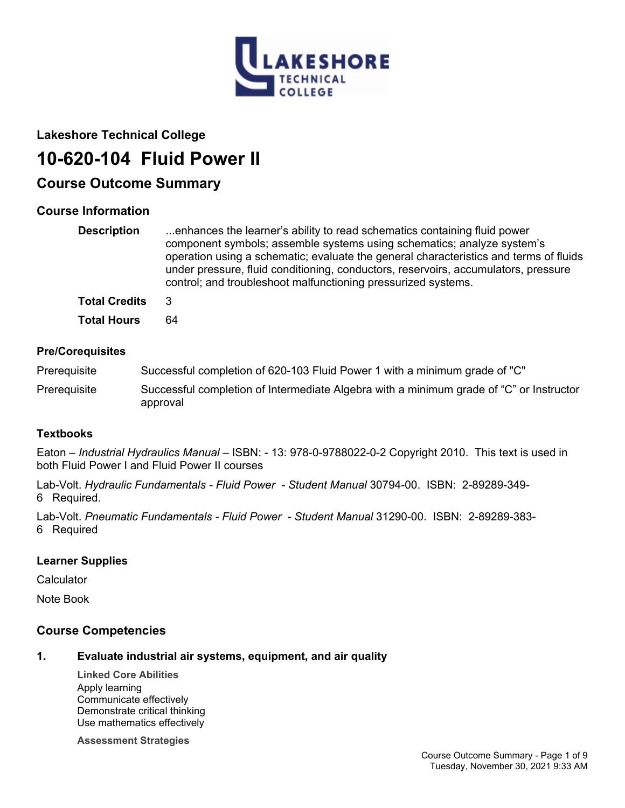

## **Lakeshore Technical College**

# **10-620-104 Fluid Power II**

## **Course Outcome Summary**

## **Course Information**

| <b>Description</b>   | enhances the learner's ability to read schematics containing fluid power<br>component symbols; assemble systems using schematics; analyze system's<br>operation using a schematic; evaluate the general characteristics and terms of fluids<br>under pressure, fluid conditioning, conductors, reservoirs, accumulators, pressure<br>control; and troubleshoot malfunctioning pressurized systems. |
|----------------------|----------------------------------------------------------------------------------------------------------------------------------------------------------------------------------------------------------------------------------------------------------------------------------------------------------------------------------------------------------------------------------------------------|
| <b>Total Credits</b> | 3                                                                                                                                                                                                                                                                                                                                                                                                  |
| <b>Total Hours</b>   | 64                                                                                                                                                                                                                                                                                                                                                                                                 |

## **Pre/Corequisites**

Prerequisite Successful completion of 620-103 Fluid Power 1 with a minimum grade of "C"

Prerequisite Successful completion of Intermediate Algebra with a minimum grade of "C" or Instructor approval

## **Textbooks**

Eaton – *Industrial Hydraulics Manual* – ISBN: - 13: 978-0-9788022-0-2 Copyright 2010. This text is used in both Fluid Power I and Fluid Power II courses

Lab-Volt. *Hydraulic Fundamentals - Fluid Power - Student Manual* 30794-00. ISBN: 2-89289-349- 6 Required.

Lab-Volt. *Pneumatic Fundamentals - Fluid Power - Student Manual* 31290-00. ISBN: 2-89289-383- 6 Required

## **Learner Supplies**

**Calculator** 

Note Book

## **Course Competencies**

## **1. Evaluate industrial air systems, equipment, and air quality**

**Linked Core Abilities** Apply learning Communicate effectively Demonstrate critical thinking Use mathematics effectively

**Assessment Strategies**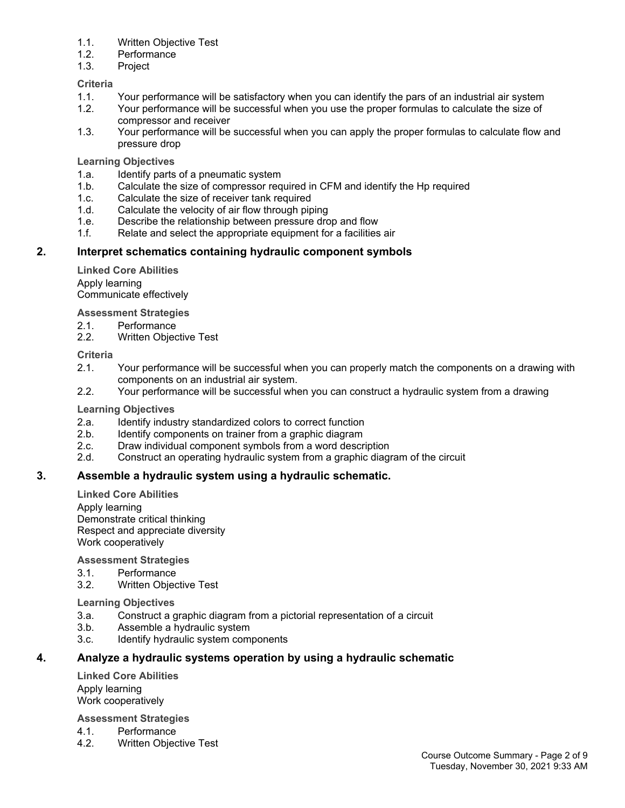- 1.1. Written Objective Test
- 1.2. Performance
- 1.3. Project

#### **Criteria**

- 1.1. Your performance will be satisfactory when you can identify the pars of an industrial air system
- 1.2. Your performance will be successful when you use the proper formulas to calculate the size of compressor and receiver
- 1.3. Your performance will be successful when you can apply the proper formulas to calculate flow and pressure drop

#### **Learning Objectives**

- 1.a. Identify parts of a pneumatic system
- 1.b. Calculate the size of compressor required in CFM and identify the Hp required
- 1.c. Calculate the size of receiver tank required
- 1.d. Calculate the velocity of air flow through piping
- 1.e. Describe the relationship between pressure drop and flow
- 1.f. Relate and select the appropriate equipment for a facilities air

## **2. Interpret schematics containing hydraulic component symbols**

**Linked Core Abilities** Apply learning Communicate effectively

**Assessment Strategies**

- 2.1. Performance
- 2.2. Written Objective Test

#### **Criteria**

- 2.1. Your performance will be successful when you can properly match the components on a drawing with components on an industrial air system.
- 2.2. Your performance will be successful when you can construct a hydraulic system from a drawing

#### **Learning Objectives**

- 2.a. Identify industry standardized colors to correct function
- 2.b. Identify components on trainer from a graphic diagram
- 2.c. Draw individual component symbols from a word description
- 2.d. Construct an operating hydraulic system from a graphic diagram of the circuit

## **3. Assemble a hydraulic system using a hydraulic schematic.**

**Linked Core Abilities**

Apply learning Demonstrate critical thinking Respect and appreciate diversity Work cooperatively

#### **Assessment Strategies**

- 3.1. Performance
- 3.2. Written Objective Test

#### **Learning Objectives**

- 3.a. Construct a graphic diagram from a pictorial representation of a circuit
- 3.b. Assemble a hydraulic system
- 3.c. Identify hydraulic system components

## **4. Analyze a hydraulic systems operation by using a hydraulic schematic**

**Linked Core Abilities** Apply learning Work cooperatively

**Assessment Strategies**

- 4.1. Performance
- 4.2. Written Objective Test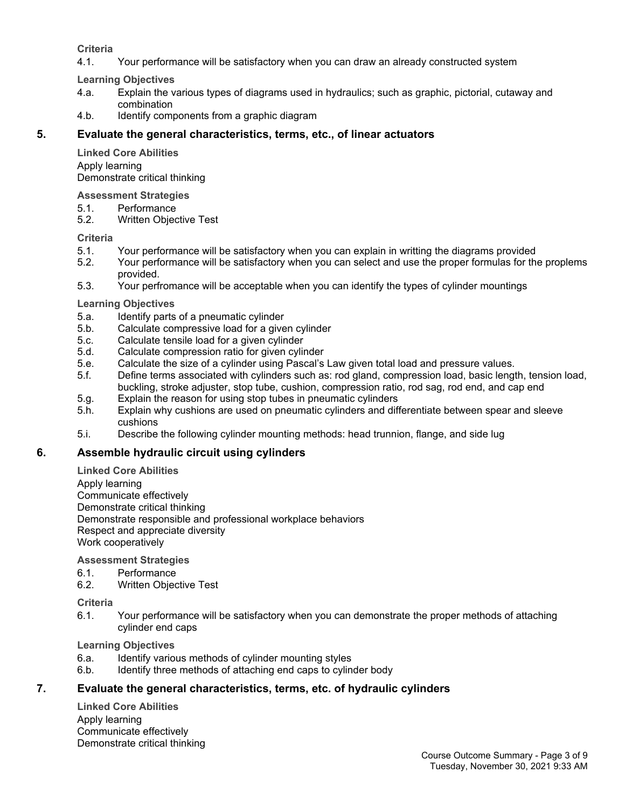## **Criteria**

4.1. Your performance will be satisfactory when you can draw an already constructed system

**Learning Objectives**

- 4.a. Explain the various types of diagrams used in hydraulics; such as graphic, pictorial, cutaway and combination
- 4.b. Identify components from a graphic diagram

## **5. Evaluate the general characteristics, terms, etc., of linear actuators**

**Linked Core Abilities** Apply learning Demonstrate critical thinking

#### **Assessment Strategies**

- 5.1. Performance
- 5.2. Written Objective Test

#### **Criteria**

- 5.1. Your performance will be satisfactory when you can explain in writting the diagrams provided
- 5.2. Your performance will be satisfactory when you can select and use the proper formulas for the proplems provided.
- 5.3. Your perfromance will be acceptable when you can identify the types of cylinder mountings

#### **Learning Objectives**

- 5.a. Identify parts of a pneumatic cylinder
- 5.b. Calculate compressive load for a given cylinder
- 5.c. Calculate tensile load for a given cylinder
- 5.d. Calculate compression ratio for given cylinder
- 5.e. Calculate the size of a cylinder using Pascal's Law given total load and pressure values.
- 5.f. Define terms associated with cylinders such as: rod gland, compression load, basic length, tension load, buckling, stroke adjuster, stop tube, cushion, compression ratio, rod sag, rod end, and cap end
- 5.g. Explain the reason for using stop tubes in pneumatic cylinders
- 5.h. Explain why cushions are used on pneumatic cylinders and differentiate between spear and sleeve cushions
- 5.i. Describe the following cylinder mounting methods: head trunnion, flange, and side lug

## **6. Assemble hydraulic circuit using cylinders**

#### **Linked Core Abilities**

Apply learning

Communicate effectively

Demonstrate critical thinking

Demonstrate responsible and professional workplace behaviors

Respect and appreciate diversity

Work cooperatively

## **Assessment Strategies**

- 6.1. Performance
- 6.2. Written Objective Test

#### **Criteria**

6.1. Your performance will be satisfactory when you can demonstrate the proper methods of attaching cylinder end caps

**Learning Objectives**

- 6.a. Identify various methods of cylinder mounting styles
- 6.b. Identify three methods of attaching end caps to cylinder body

## **7. Evaluate the general characteristics, terms, etc. of hydraulic cylinders**

**Linked Core Abilities** Apply learning Communicate effectively Demonstrate critical thinking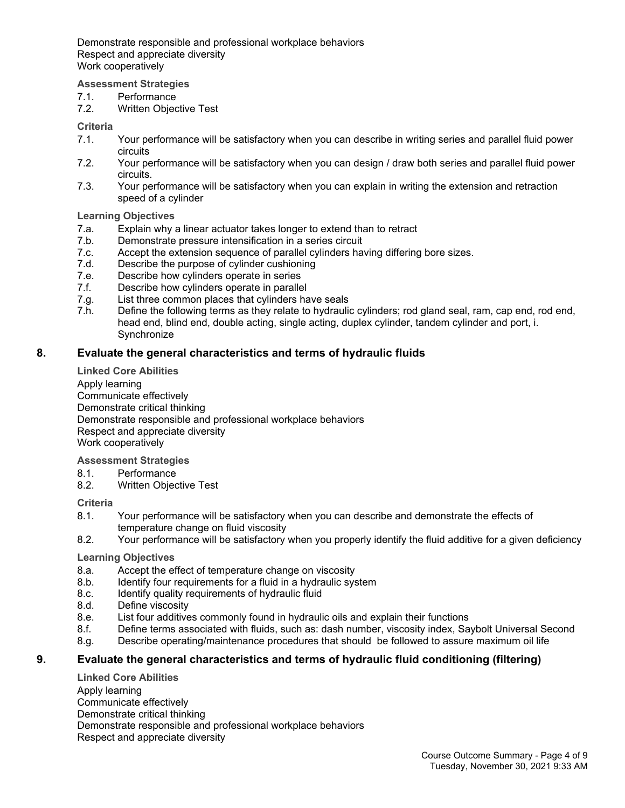Demonstrate responsible and professional workplace behaviors Respect and appreciate diversity Work cooperatively

**Assessment Strategies**

7.1. Performance

7.2. Written Objective Test

**Criteria**

- 7.1. Your performance will be satisfactory when you can describe in writing series and parallel fluid power circuits
- 7.2. Your performance will be satisfactory when you can design / draw both series and parallel fluid power circuits.
- 7.3. Your performance will be satisfactory when you can explain in writing the extension and retraction speed of a cylinder

**Learning Objectives**

- 7.a. Explain why a linear actuator takes longer to extend than to retract
- 7.b. Demonstrate pressure intensification in a series circuit
- Accept the extension sequence of parallel cylinders having differing bore sizes.
- 7.d. Describe the purpose of cylinder cushioning
- 7.e. Describe how cylinders operate in series
- 7.f. Describe how cylinders operate in parallel
- 7.g. List three common places that cylinders have seals
- 7.h. Define the following terms as they relate to hydraulic cylinders; rod gland seal, ram, cap end, rod end, head end, blind end, double acting, single acting, duplex cylinder, tandem cylinder and port, i. **Synchronize**

## **8. Evaluate the general characteristics and terms of hydraulic fluids**

**Linked Core Abilities** Apply learning Communicate effectively Demonstrate critical thinking Demonstrate responsible and professional workplace behaviors Respect and appreciate diversity Work cooperatively

**Assessment Strategies**

- 8.1. Performance
- 8.2. Written Objective Test

**Criteria**

- 8.1. Your performance will be satisfactory when you can describe and demonstrate the effects of temperature change on fluid viscosity
- 8.2. Your performance will be satisfactory when you properly identify the fluid additive for a given deficiency

#### **Learning Objectives**

- 8.a. Accept the effect of temperature change on viscosity
- 8.b. Identify four requirements for a fluid in a hydraulic system
- 8.c. Identify quality requirements of hydraulic fluid
- 8.d. Define viscosity
- 8.e. List four additives commonly found in hydraulic oils and explain their functions
- 8.f. Define terms associated with fluids, such as: dash number, viscosity index, Saybolt Universal Second
- 8.g. Describe operating/maintenance procedures that should be followed to assure maximum oil life

## **9. Evaluate the general characteristics and terms of hydraulic fluid conditioning (filtering)**

**Linked Core Abilities** Apply learning Communicate effectively Demonstrate critical thinking Demonstrate responsible and professional workplace behaviors Respect and appreciate diversity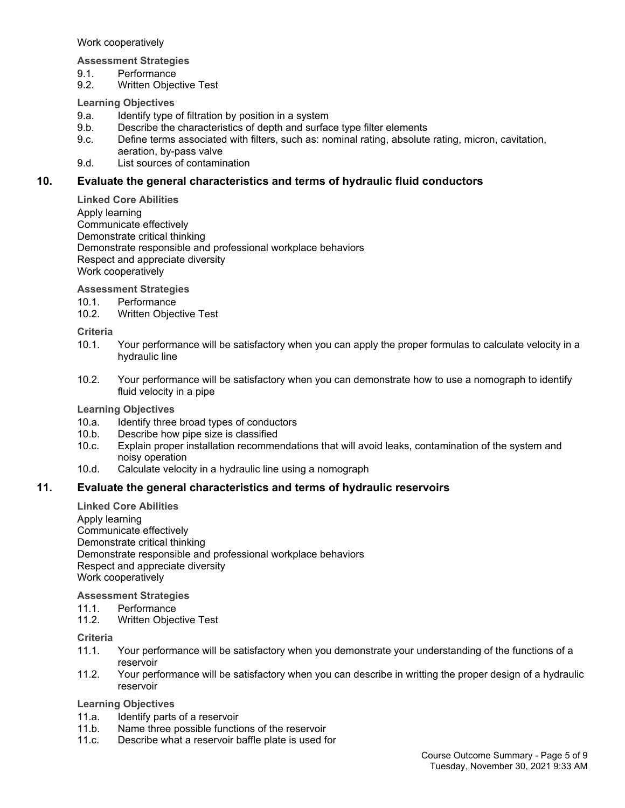Work cooperatively

**Assessment Strategies**

- 9.1. Performance
- 9.2. Written Objective Test

## **Learning Objectives**

- 9.a. Identify type of filtration by position in a system
- 9.b. Describe the characteristics of depth and surface type filter elements
- 9.c. Define terms associated with filters, such as: nominal rating, absolute rating, micron, cavitation, aeration, by-pass valve
- 9.d. List sources of contamination

## **10. Evaluate the general characteristics and terms of hydraulic fluid conductors**

**Linked Core Abilities** Apply learning Communicate effectively Demonstrate critical thinking Demonstrate responsible and professional workplace behaviors Respect and appreciate diversity Work cooperatively

**Assessment Strategies**

- 
- 10.1. Performance<br>10.2. Written Obiec **Written Objective Test**

**Criteria**

- 10.1. Your performance will be satisfactory when you can apply the proper formulas to calculate velocity in a hydraulic line
- 10.2. Your performance will be satisfactory when you can demonstrate how to use a nomograph to identify fluid velocity in a pipe

**Learning Objectives**

- 10.a. Identify three broad types of conductors
- 10.b. Describe how pipe size is classified
- 10.c. Explain proper installation recommendations that will avoid leaks, contamination of the system and noisy operation
- 10.d. Calculate velocity in a hydraulic line using a nomograph

## **11. Evaluate the general characteristics and terms of hydraulic reservoirs**

**Linked Core Abilities** Apply learning Communicate effectively Demonstrate critical thinking Demonstrate responsible and professional workplace behaviors Respect and appreciate diversity Work cooperatively

**Assessment Strategies**

- 11.1. Performance
- 11.2. Written Objective Test

**Criteria**

- 11.1. Your performance will be satisfactory when you demonstrate your understanding of the functions of a reservoir
- 11.2. Your performance will be satisfactory when you can describe in writting the proper design of a hydraulic reservoir

#### **Learning Objectives**

- 11.a. Identify parts of a reservoir
- 11.b. Name three possible functions of the reservoir
- 11.c. Describe what a reservoir baffle plate is used for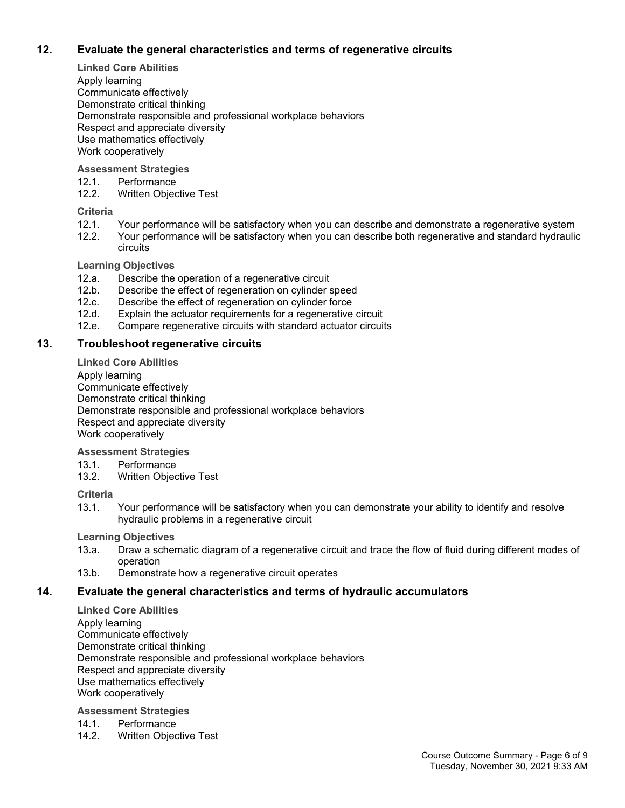## **12. Evaluate the general characteristics and terms of regenerative circuits**

**Linked Core Abilities**

Apply learning Communicate effectively Demonstrate critical thinking Demonstrate responsible and professional workplace behaviors Respect and appreciate diversity Use mathematics effectively Work cooperatively

## **Assessment Strategies**

12.1. Performance

12.2. Written Objective Test

## **Criteria**

- 12.1. Your performance will be satisfactory when you can describe and demonstrate a regenerative system<br>12.2. Your performance will be satisfactory when you can describe both regenerative and standard hydraulig
- Your performance will be satisfactory when you can describe both regenerative and standard hydraulic circuits

#### **Learning Objectives**

- 12.a. Describe the operation of a regenerative circuit
- 12.b. Describe the effect of regeneration on cylinder speed
- 
- 12.c. Describe the effect of regeneration on cylinder force<br>12.d. Explain the actuator requirements for a regenerative Explain the actuator requirements for a regenerative circuit
- 12.e. Compare regenerative circuits with standard actuator circuits

## **13. Troubleshoot regenerative circuits**

**Linked Core Abilities**

Apply learning Communicate effectively Demonstrate critical thinking Demonstrate responsible and professional workplace behaviors Respect and appreciate diversity Work cooperatively

**Assessment Strategies**

- 13.1. Performance
- 13.2. Written Objective Test

## **Criteria**

13.1. Your performance will be satisfactory when you can demonstrate your ability to identify and resolve hydraulic problems in a regenerative circuit

**Learning Objectives**

- 13.a. Draw a schematic diagram of a regenerative circuit and trace the flow of fluid during different modes of operation
- 13.b. Demonstrate how a regenerative circuit operates

## **14. Evaluate the general characteristics and terms of hydraulic accumulators**

**Linked Core Abilities** Apply learning Communicate effectively Demonstrate critical thinking Demonstrate responsible and professional workplace behaviors Respect and appreciate diversity Use mathematics effectively Work cooperatively

## **Assessment Strategies**

- 14.1. Performance
- 14.2. Written Objective Test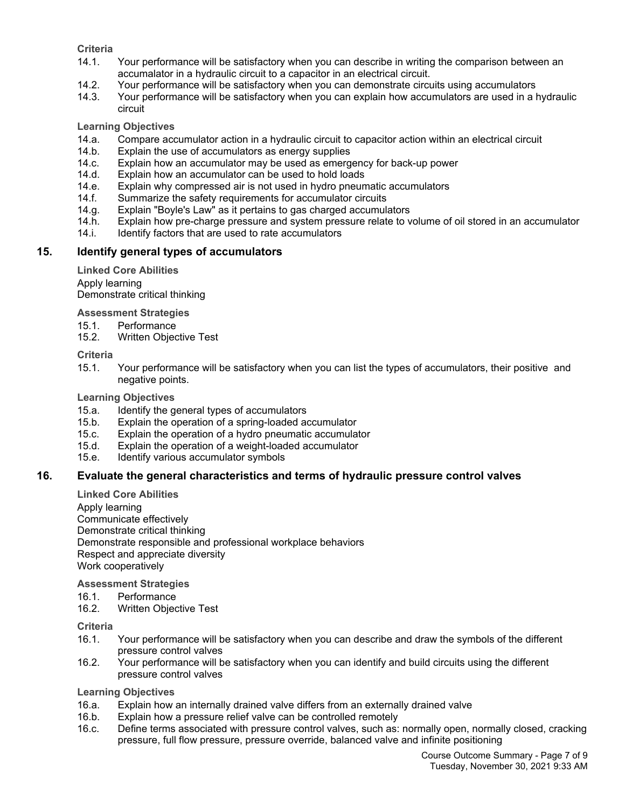## **Criteria**

- 14.1. Your performance will be satisfactory when you can describe in writing the comparison between an accumalator in a hydraulic circuit to a capacitor in an electrical circuit.
- 14.2. Your performance will be satisfactory when you can demonstrate circuits using accumulators
- 14.3. Your performance will be satisfactory when you can explain how accumulators are used in a hydraulic circuit

## **Learning Objectives**

- 14.a. Compare accumulator action in a hydraulic circuit to capacitor action within an electrical circuit
- 14.b. Explain the use of accumulators as energy supplies
- 14.c. Explain how an accumulator may be used as emergency for back-up power
- 14.d. Explain how an accumulator can be used to hold loads
- 14.e. Explain why compressed air is not used in hydro pneumatic accumulators
- 14.f. Summarize the safety requirements for accumulator circuits
- 14.g. Explain "Boyle's Law" as it pertains to gas charged accumulators
- 14.h. Explain how pre-charge pressure and system pressure relate to volume of oil stored in an accumulator
- 14.i. Identify factors that are used to rate accumulators

## **15. Identify general types of accumulators**

**Linked Core Abilities** Apply learning Demonstrate critical thinking

**Assessment Strategies**

- 15.1. Performance
- 15.2. Written Objective Test

#### **Criteria**

15.1. Your performance will be satisfactory when you can list the types of accumulators, their positive and negative points.

## **Learning Objectives**

- 15.a. Identify the general types of accumulators
- 15.b. Explain the operation of a spring-loaded accumulator
- 15.c. Explain the operation of a hydro pneumatic accumulator
- 15.d. Explain the operation of a weight-loaded accumulator
- 15.e. Identify various accumulator symbols

## **16. Evaluate the general characteristics and terms of hydraulic pressure control valves**

**Linked Core Abilities**

Apply learning Communicate effectively Demonstrate critical thinking Demonstrate responsible and professional workplace behaviors Respect and appreciate diversity Work cooperatively

**Assessment Strategies**

- 16.1. Performance
- 16.2. Written Objective Test

#### **Criteria**

- 16.1. Your performance will be satisfactory when you can describe and draw the symbols of the different pressure control valves
- 16.2. Your performance will be satisfactory when you can identify and build circuits using the different pressure control valves

#### **Learning Objectives**

- 16.a. Explain how an internally drained valve differs from an externally drained valve
- 16.b. Explain how a pressure relief valve can be controlled remotely 16.c. Define terms associated with pressure control valves, such as:
- Define terms associated with pressure control valves, such as: normally open, normally closed, cracking pressure, full flow pressure, pressure override, balanced valve and infinite positioning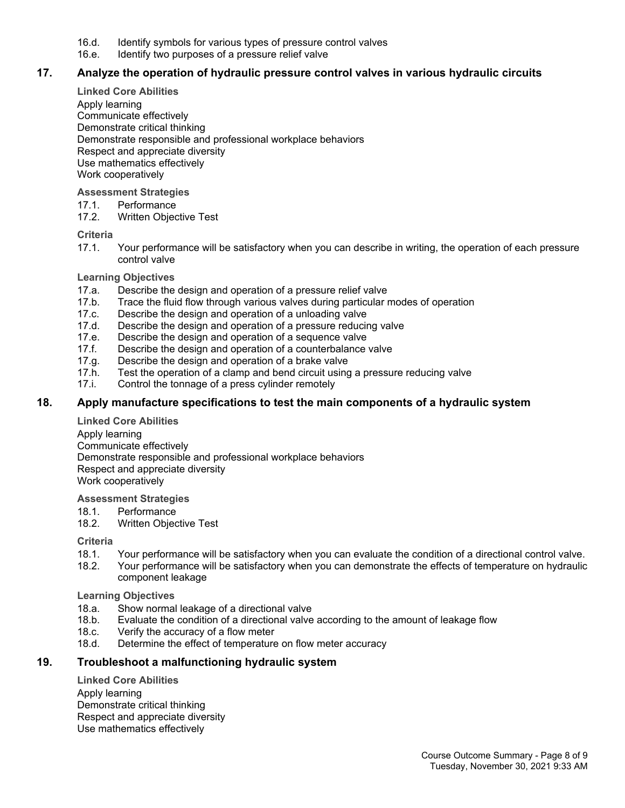- 16.d. Identify symbols for various types of pressure control valves
- 16.e. Identify two purposes of a pressure relief valve

## **17. Analyze the operation of hydraulic pressure control valves in various hydraulic circuits**

**Linked Core Abilities**

Apply learning Communicate effectively Demonstrate critical thinking Demonstrate responsible and professional workplace behaviors Respect and appreciate diversity Use mathematics effectively Work cooperatively

#### **Assessment Strategies**

- 17.1. Performance
- 17.2. Written Objective Test

#### **Criteria**

17.1. Your performance will be satisfactory when you can describe in writing, the operation of each pressure control valve

#### **Learning Objectives**

- 17.a. Describe the design and operation of a pressure relief valve
- 17.b. Trace the fluid flow through various valves during particular modes of operation 17.c. Describe the design and operation of a unloading valve
- Describe the design and operation of a unloading valve
- 17.d. Describe the design and operation of a pressure reducing valve
- 17.e. Describe the design and operation of a sequence valve<br>17.f. Describe the design and operation of a counterbalance
- Describe the design and operation of a counterbalance valve
- 17.g. Describe the design and operation of a brake valve
- 17.h. Test the operation of a clamp and bend circuit using a pressure reducing valve
- 17.i. Control the tonnage of a press cylinder remotely

## **18. Apply manufacture specifications to test the main components of a hydraulic system**

**Linked Core Abilities** Apply learning Communicate effectively Demonstrate responsible and professional workplace behaviors Respect and appreciate diversity Work cooperatively

**Assessment Strategies**

- 18.1. Performance
- 18.2. Written Objective Test

#### **Criteria**

- 18.1. Your performance will be satisfactory when you can evaluate the condition of a directional control valve.
- 18.2. Your performance will be satisfactory when you can demonstrate the effects of temperature on hydraulic component leakage

#### **Learning Objectives**

- 18.a. Show normal leakage of a directional valve
- 18.b. Evaluate the condition of a directional valve according to the amount of leakage flow
- 18.c. Verify the accuracy of a flow meter
- 18.d. Determine the effect of temperature on flow meter accuracy

## **19. Troubleshoot a malfunctioning hydraulic system**

**Linked Core Abilities** Apply learning Demonstrate critical thinking Respect and appreciate diversity Use mathematics effectively